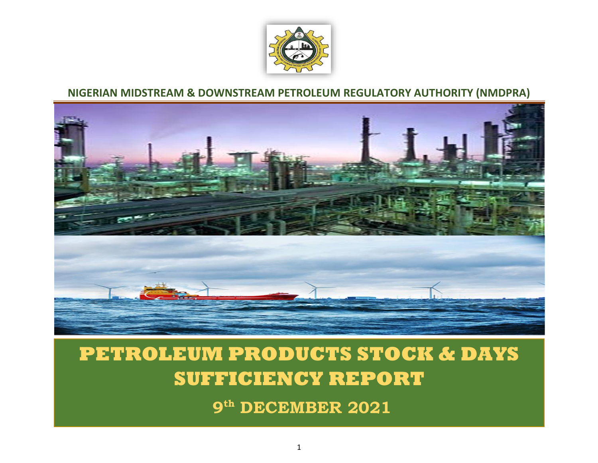

## **NIGERIAN MIDSTREAM & DOWNSTREAM PETROLEUM REGULATORY AUTHORITY (NMDPRA)**



## **PETROLEUM PRODUCTS STOCK & DAYS SUFFICIENCY REPORT**

**9 th DECEMBER 2021**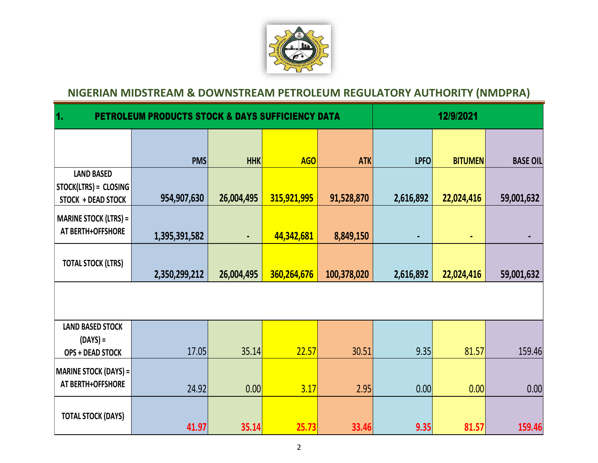

## **NIGERIAN MIDSTREAM & DOWNSTREAM PETROLEUM REGULATORY AUTHORITY (NMDPRA)**

| $\overline{\mathbf{1}}$<br><b>PETROLEUM PRODUCTS STOCK &amp; DAYS SUFFICIENCY DATA</b> | 12/9/2021     |                |             |             |             |                |                 |  |  |
|----------------------------------------------------------------------------------------|---------------|----------------|-------------|-------------|-------------|----------------|-----------------|--|--|
|                                                                                        |               |                |             |             |             |                |                 |  |  |
|                                                                                        | <b>PMS</b>    | <b>HHK</b>     | <b>AGO</b>  | <b>ATK</b>  | <b>LPFO</b> | <b>BITUMEN</b> | <b>BASE OIL</b> |  |  |
| <b>LAND BASED</b>                                                                      |               |                |             |             |             |                |                 |  |  |
| STOCK(LTRS) = CLOSING                                                                  |               |                |             |             |             |                |                 |  |  |
| STOCK + DEAD STOCK                                                                     | 954,907,630   | 26,004,495     | 315,921,995 | 91,528,870  | 2,616,892   | 22,024,416     | 59,001,632      |  |  |
| <b>MARINE STOCK (LTRS) =</b>                                                           |               |                |             |             |             |                |                 |  |  |
| AT BERTH+OFFSHORE                                                                      | 1,395,391,582 | $\blacksquare$ | 44,342,681  | 8,849,150   | ٠           | $\blacksquare$ | $\blacksquare$  |  |  |
| <b>TOTAL STOCK (LTRS)</b>                                                              | 2,350,299,212 | 26,004,495     | 360,264,676 | 100,378,020 | 2,616,892   | 22,024,416     | 59,001,632      |  |  |
|                                                                                        |               |                |             |             |             |                |                 |  |  |
| <b>LAND BASED STOCK</b>                                                                |               |                |             |             |             |                |                 |  |  |
| $(DAYS) =$                                                                             |               |                |             |             |             |                |                 |  |  |
| <b>OPS + DEAD STOCK</b>                                                                | 17.05         | 35.14          | 22.57       | 30.51       | 9.35        | 81.57          | 159.46          |  |  |
| <b>MARINE STOCK (DAYS) =</b>                                                           |               |                |             |             |             |                |                 |  |  |
| AT BERTH+OFFSHORE                                                                      | 24.92         | 0.00           | 3.17        | 2.95        | 0.00        | 0.00           | 0.00            |  |  |
| <b>TOTAL STOCK (DAYS)</b>                                                              | 41.97         | 35.14          | 25.73       | 33.46       | 9.35        | 81.57          | 159.46          |  |  |